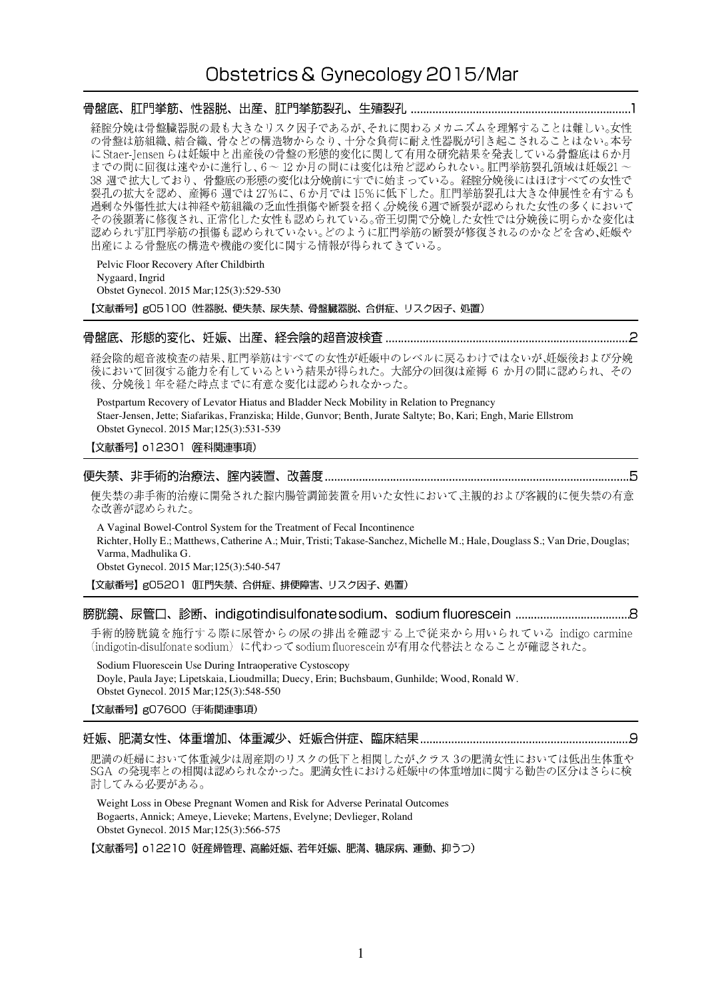# Obstetrics & Gynecology 2015/Mar

|                                                                                                        |  | 経腟分娩は骨盤臓器脱の最も大きなリスク因子であるが、それに関わるメカニズムを理解することは難しい。女性<br>の骨盤は筋組織、結合織、骨などの構造物からなり、十分な負荷に耐え性器脱が引き起こされることはない。本号<br>に Staer-Jensen らは妊娠中と出産後の骨盤の形態的変化に関して有用な研究結果を発表している骨盤底は6か月<br>までの間に回復は速やかに進行し、6~12か月の間には変化は殆ど認められない。肛門挙筋裂孔領域は妊娠21~<br>38 週で拡大しており、骨盤底の形態の変化は分娩前にすでに始まっている。経腟分娩後にはほぼすべての女性で<br>裂孔の拡大を認め、産褥6週では27%に、6か月では15%に低下した。肛門挙筋裂孔は大きな伸展性を有するも<br>過剰な外傷性拡大は神経や筋組織の乏血性損傷や断裂を招く。分娩後6週で断裂が認められた女性の多くにおいて<br>その後顕著に修復され、正常化した女性も認められている。帝王切開で分娩した女性では分娩後に明らかな変化は<br>認められず肛門挙筋の損傷も認められていない。どのように肛門挙筋の断裂が修復されるのかなどを含め、妊娠や<br>出産による骨盤底の構造や機能の変化に関する情報が得られてきている。 |  |  |
|--------------------------------------------------------------------------------------------------------|--|------------------------------------------------------------------------------------------------------------------------------------------------------------------------------------------------------------------------------------------------------------------------------------------------------------------------------------------------------------------------------------------------------------------------------------------------------------------------------------------------------------------------------------------------------------|--|--|
| Pelvic Floor Recovery After Childbirth<br>Nygaard, Ingrid<br>Obstet Gynecol. 2015 Mar; 125(3): 529-530 |  | 【文献番号】g05100 (性器脱、便失禁、尿失禁、骨盤臓器脱、合併症、リスク因子、処置)                                                                                                                                                                                                                                                                                                                                                                                                                                                                                                              |  |  |
|                                                                                                        |  | 経会陰的超音波検査の結果、肛門挙筋はすべての女性が妊娠中のレベルに戻るわけではないが、妊娠後および分娩                                                                                                                                                                                                                                                                                                                                                                                                                                                                                                        |  |  |

後において回復する能力を有しているという結果が得られた。大部分の回復は産褥6か月の間に認められ、その 後、分娩後1年を経た時点までに有意な変化は認められなかった。

Postpartum Recovery of Levator Hiatus and Bladder Neck Mobility in Relation to Pregnancy Staer-Jensen, Jette; Siafarikas, Franziska; Hilde, Gunvor; Benth, Jurate Saltyte; Bo, Kari; Engh, Marie Ellstrom Obstet Gynecol. 2015 Mar;125(3):531-539

【文献番号】 o12301 産科関連事項)

### 

便失禁の非手術的治療に開発された腟内腸管調節装置を用いた女性において主観的および客観的に便失禁の有意 な改善が認められた。

A Vaginal Bowel-Control System for the Treatment of Fecal Incontinence Richter, Holly E.; Matthews, Catherine A.; Muir, Tristi; Takase-Sanchez, Michelle M.; Hale, Douglass S.; Van Drie, Douglas; Varma, Madhulika G. Obstet Gynecol. 2015 Mar;125(3):540-547

【文献番号】g05201 (肛門失禁、合併症、排便障害、リスク因子、処置)

### 

手術的膀胱鏡を施行する際に尿管からの尿の排出を確認する上で従来から用いられている indigo carmine (indigotin-disulfonate sodium) に代わって sodium fluorescein が有用な代替法となることが確認された。

Sodium Fluorescein Use During Intraoperative Cystoscopy Doyle, Paula Jaye; Lipetskaia, Lioudmilla; Duecy, Erin; Buchsbaum, Gunhilde; Wood, Ronald W. Obstet Gynecol. 2015 Mar;125(3):548-550

【文献番号】g07600 (手術関連事項)

### 

肥満の妊婦において体重減少は周産期のリスクの低下と相関したが、クラス3の肥満女性においては低出生体重や 、<br>SGA の発現率との相関は認められなかった。肥満女性における妊娠中の体重増加に関する勧告の区分はさらに検 討してみる必要がある。

Weight Loss in Obese Pregnant Women and Risk for Adverse Perinatal Outcomes Bogaerts, Annick; Ameye, Lieveke; Martens, Evelyne; Devlieger, Roland Obstet Gynecol. 2015 Mar;125(3):566-575

【文献番号】 o12210 妊産婦管理、高齢妊娠、若年妊娠、肥満、糖尿病、運動、抑うつ)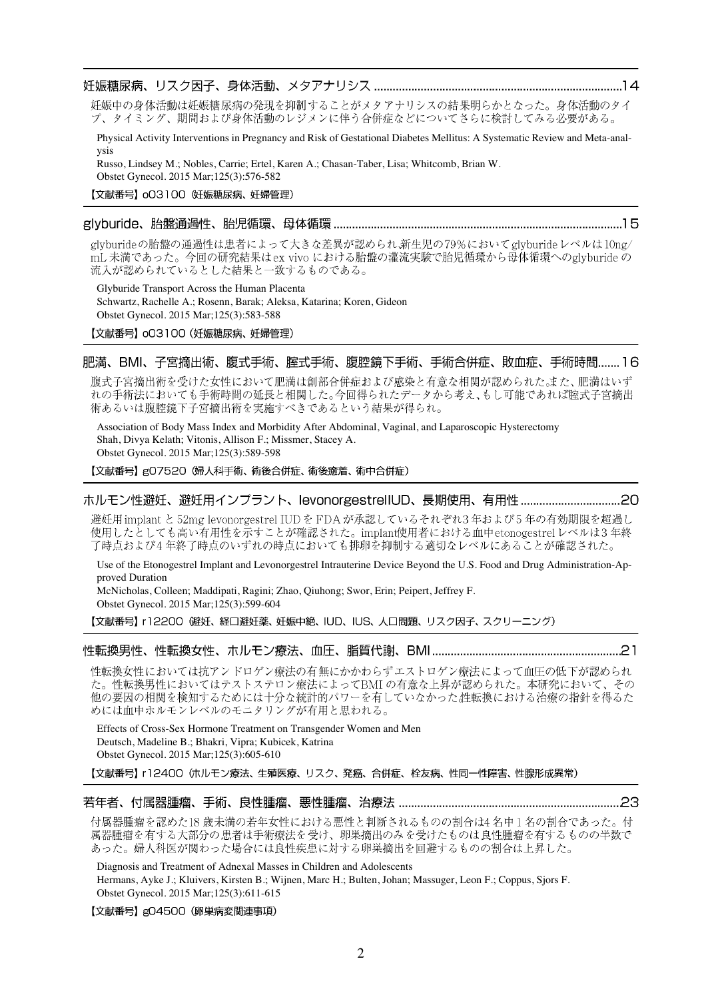#### 

妊娠中の身体活動は妊娠糖尿病の発現を抑制することがメタアナリシスの結果明らかとなった。身体活動のタイ プ、タイミング、期間および身体活動のレジメンに伴う合併症などについてさらに検討してみる必要がある。

Physical Activity Interventions in Pregnancy and Risk of Gestational Diabetes Mellitus: A Systematic Review and Meta-analysis

Russo, Lindsey M.; Nobles, Carrie; Ertel, Karen A.; Chasan-Taber, Lisa; Whitcomb, Brian W. Obstet Gynecol. 2015 Mar;125(3):576-582

### 【文献番号】 003100 妊娠糖尿病、妊婦管理)

#### \_glyburide、胎盤通過性、胎児循環、母体循環 …………………………………………………………………………………………15

glyburideの胎盤の通過性は患者によって大きな差異が認められ新生児の79%においてglyburideレベルは10ng/ mL 未満であった。今回の研究結果はex vivo における胎盤の灌流実験で胎児循環から母体循環へのglyburide の 流入が認められているとした結果と一致するものである。

Glyburide Transport Across the Human Placenta Schwartz, Rachelle A.; Rosenn, Barak; Aleksa, Katarina; Koren, Gideon Obstet Gynecol. 2015 Mar;125(3):583-588

【文献番号】 003100 (妊娠糖尿病、妊婦管理)

#### 肥満、BMI、子宮摘出術、腹式手術、腟式手術、腹腔鏡下手術、手術合併症、敗血症、手術時間....... 16

腹式子宮摘出術を受けた女性において肥満は創部合併症および感染と有意な相関が認められた。また、肥満はいず れの手術法においても手術時間の延長と相関した。今回得られたデータから考え、もし可能であれば腟式子宮摘出 術あるいは腹腔鏡下子宮摘出術を実施すべきであるという結果が得られ。

Association of Body Mass Index and Morbidity After Abdominal, Vaginal, and Laparoscopic Hysterectomy Shah, Divya Kelath; Vitonis, Allison F.; Missmer, Stacey A. Obstet Gynecol. 2015 Mar;125(3):589-598

【文献番号】gO7520 (婦人科手術、術後合併症、術後癒着、術中合併症)

### ホルモン性避妊、避妊用インプラント、levonorgestrellUD、長期使用、有用性 ..................................20

避妊用 implant と 52mg levonorgestrel IUD を FDA が承認しているそれぞれ3年および5年の有効期限を超過し 使用したとしても高い有用性を示すことが確認された。implant使用者における血中etonogestrelレベルは3年終 了時点および4年終了時点のいずれの時点においても排卵を抑制する適切なレベルにあることが確認された。

Use of the Etonogestrel Implant and Levonorgestrel Intrauterine Device Beyond the U.S. Food and Drug Administration-Approved Duration

McNicholas, Colleen; Maddipati, Ragini; Zhao, Qiuhong; Swor, Erin; Peipert, Jeffrey F. Obstet Gynecol. 2015 Mar;125(3):599-604

【文献番号】 r12200 (避妊、経口避妊薬、妊娠中絶、IUD、IUS、人口問題、リスク因子、スクリーニング)

性転換女性においては抗アンドロゲン療法の有無にかかわらずエストロゲン療法によって血圧の低下が認められ た。性転換男性においてはテストステロン療法によってBMIの有意な上昇が認められた。本研究において、その 他の要因の相関を検知するためには十分な統計的パワーを有していなかった性転換における治療の指針を得るた めには血中ホルモンレベルのモニタリングが有用と思われる。

Effects of Cross-Sex Hormone Treatment on Transgender Women and Men Deutsch, Madeline B.; Bhakri, Vipra; Kubicek, Katrina Obstet Gynecol. 2015 Mar;125(3):605-610

【文献番号】 r12400 (ホルモン療法、生殖医療、リスク、発癌、合併症、栓友病、性同一性障害、性腺形成異常)

付属器腫瘤を認めた18歳未満の若年女性における悪性と判断されるものの割合は4名中1名の割合であった。付 属器腫瘤を有する大部分の患者は手術療法を受け、卵巣摘出のみを受けたものは良性腫瘤を有するものの半数で あった。婦人科医が関わった場合には良性疾患に対する卵巣摘出を回避するものの割合は上昇した。

Diagnosis and Treatment of Adnexal Masses in Children and Adolescents

Hermans, Ayke J.; Kluivers, Kirsten B.; Wijnen, Marc H.; Bulten, Johan; Massuger, Leon F.; Coppus, Sjors F. Obstet Gynecol. 2015 Mar;125(3):611-615

【文献番号】gO4500 (卵巣病変関連事項)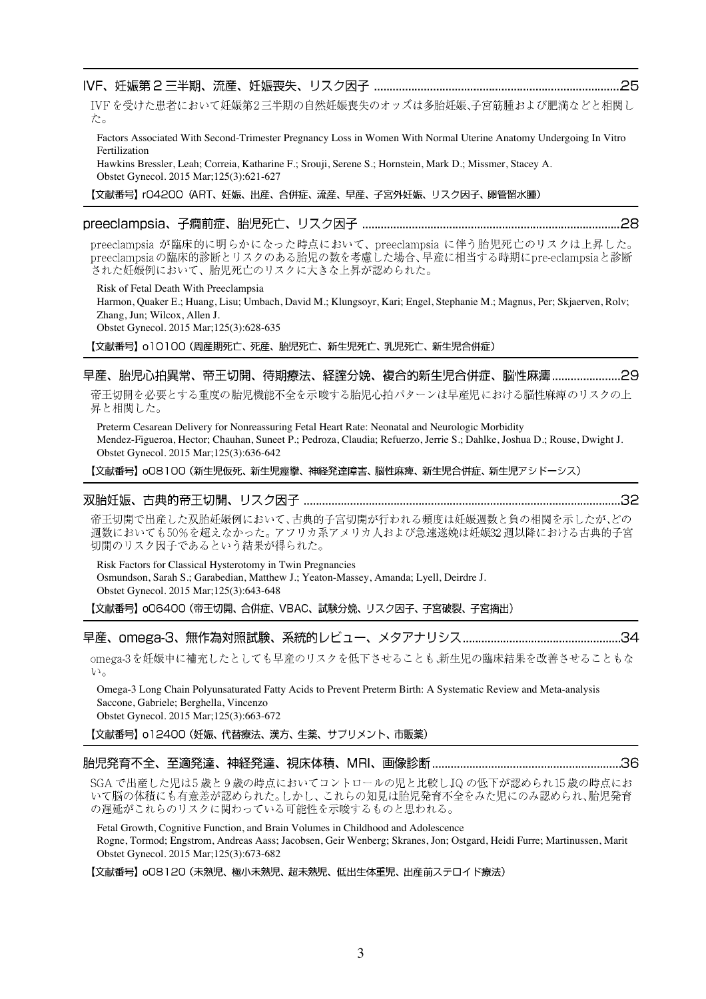### 

IVFを受けた患者において妊娠第2三半期の自然妊娠喪失のオッズは多胎妊娠、子宮筋腫および肥満などと相関し た。

Factors Associated With Second-Trimester Pregnancy Loss in Women With Normal Uterine Anatomy Undergoing In Vitro Fertilization

Hawkins Bressler, Leah; Correia, Katharine F.; Srouji, Serene S.; Hornstein, Mark D.; Missmer, Stacey A. Obstet Gynecol. 2015 Mar;125(3):621-627

【文献番号】 rO4200 (ART、妊娠、出産、合併症、流産、早産、子宮外妊娠、リスク因子、卵管留水腫)

# 

preeclampsia が臨床的に明らかになった時点において、preeclampsia に伴う胎児死亡のリスクは上昇した。 preeclampsiaの臨床的診断とリスクのある胎児の数を考慮した場合、早産に相当する時期にpre-eclampsiaと診断 された妊娠例において、胎児死亡のリスクに大きな上昇が認められた。

Risk of Fetal Death With Preeclampsia Harmon, Quaker E.; Huang, Lisu; Umbach, David M.; Klungsoyr, Kari; Engel, Stephanie M.; Magnus, Per; Skjaerven, Rolv; Zhang, Jun; Wilcox, Allen J. Obstet Gynecol. 2015 Mar;125(3):628-635

【文献番号】o10100 (周産期死亡、死産、胎児死亡、新生児死亡、乳児死亡、新生児合併症)

### 早産、胎児心拍異常、帝王切開、待期療法、経腟分娩、複合的新生児合併症、脳性麻痺…………………29

帝王切開を必要とする重度の胎児機能不全を示唆する胎児心拍パターンは早産児における脳性麻痺のリスクの上 昇と相関した。

Preterm Cesarean Delivery for Nonreassuring Fetal Heart Rate: Neonatal and Neurologic Morbidity Mendez-Figueroa, Hector; Chauhan, Suneet P.; Pedroza, Claudia; Refuerzo, Jerrie S.; Dahlke, Joshua D.; Rouse, Dwight J. Obstet Gynecol. 2015 Mar;125(3):636-642

【文献番号】 oO8100 (新生児仮死、新生児痙攣、神経発達障害、脳性麻痺、新生児合併症、新生児アシドーシス)

### 

帝王切開で出産した双胎妊娠例において、古典的子宮切開が行われる頻度は妊娠週数と負の相関を示したが、どの 、<br>週数においても50%を超えなかった。アフリカ系アメリカ人および急速遂娩は妊娠32 週以降における古典的子宮 切開のリスク因子であるという結果が得られた。

Risk Factors for Classical Hysterotomy in Twin Pregnancies Osmundson, Sarah S.; Garabedian, Matthew J.; Yeaton-Massey, Amanda; Lyell, Deirdre J. Obstet Gynecol. 2015 Mar;125(3):643-648

【文献番号】 oO6400 (帝王切開、合併症、VBAC、試験分娩、リスク因子、子宮破裂、子宮摘出)

# 

omega-3を妊娠中に補充したとしても早産のリスクを低下させることも、新生児の臨床結果を改善させることもな  $V_{\alpha}$ 

Omega-3 Long Chain Polyunsaturated Fatty Acids to Prevent Preterm Birth: A Systematic Review and Meta-analysis Saccone, Gabriele; Berghella, Vincenzo

Obstet Gynecol. 2015 Mar;125(3):663-672

【文献番号】 o12400 (妊娠、代替療法、漢方、生薬、サプリメント、市販薬)

### 

SGA で出産した児は5歳と9歳の時点においてコントロールの児と比較しJQ の低下が認められ15歳の時点にお いて脳の体積にも有意差が認められた。しかし、これらの知見は胎児発育不全をみた児にのみ認められ、胎児発育 の遅延がこれらのリスクに関わっている可能性を示唆するものと思われる。

Fetal Growth, Cognitive Function, and Brain Volumes in Childhood and Adolescence Rogne, Tormod; Engstrom, Andreas Aass; Jacobsen, Geir Wenberg; Skranes, Jon; Ostgard, Heidi Furre; Martinussen, Marit Obstet Gynecol. 2015 Mar;125(3):673-682

【文献番号】 008120 (未熟児、極小未熟児、超未熟児、低出生体重児、出産前ステロイド療法)